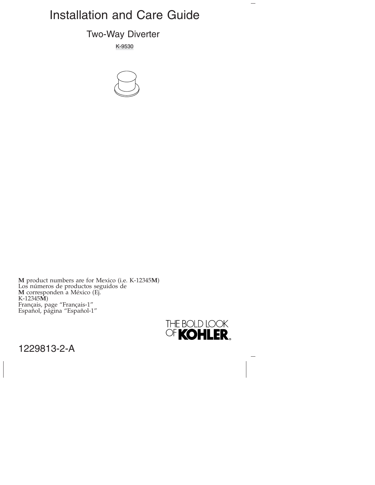# Installation and Care Guide

## Two-Way Diverter

K-9530



**M** product numbers are for Mexico (i.e. K-12345**M**) Los números de productos seguidos de **M** corresponden a México (Ej. K-12345**M**) Français, page "Français-1" Español, página "Español-1"



 $\overline{\phantom{0}}$ 

1229813-2-A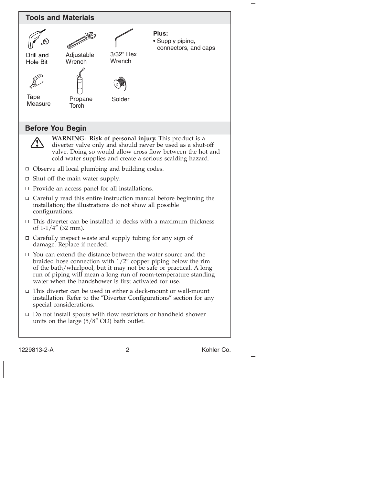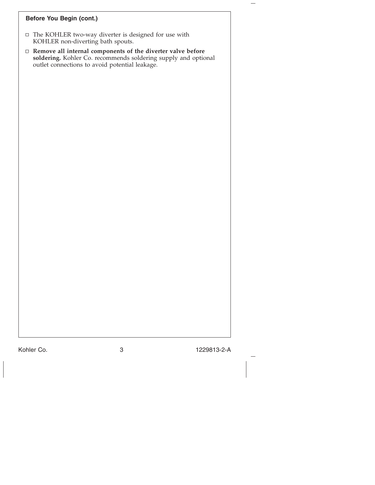## **Before You Begin (cont.)**

- $\Box$  The KOHLER two-way diverter is designed for use with KOHLER non-diverting bath spouts.
- **Remove all internal components of the diverter valve before soldering.** Kohler Co. recommends soldering supply and optional outlet connections to avoid potential leakage.

Kohler Co. 3 1229813-2-A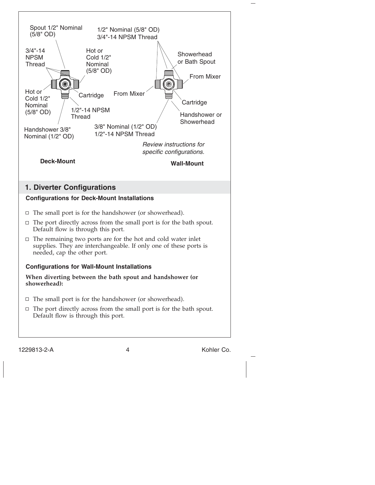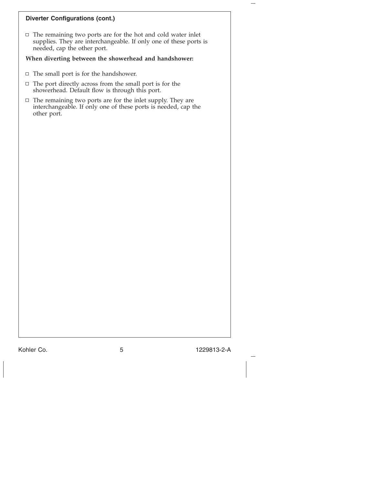## **Diverter Configurations (cont.)**

 $\Box$  The remaining two ports are for the hot and cold water inlet supplies. They are interchangeable. If only one of these ports is needed, cap the other port.

## **When diverting between the showerhead and handshower:**

- $\Box$  The small port is for the handshower.
- $\Box$  The port directly across from the small port is for the showerhead. Default flow is through this port.
- $\Box$  The remaining two ports are for the inlet supply. They are interchangeable. If only one of these ports is needed, cap the other port.

Kohler Co. 6 1229813-2-A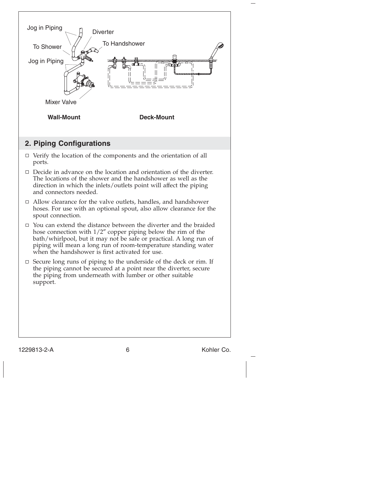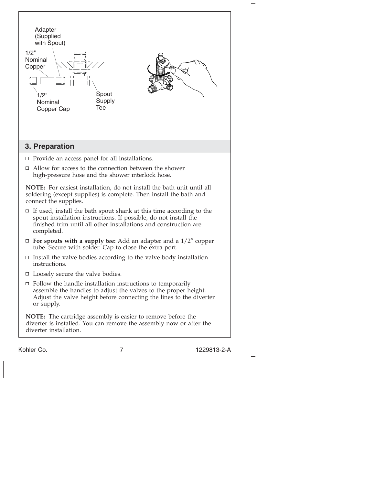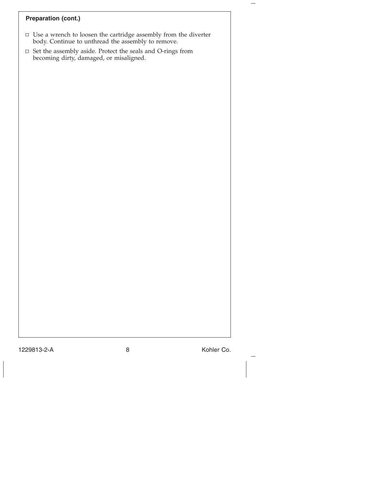## **Preparation (cont.)**

- Use a wrench to loosen the cartridge assembly from the diverter body. Continue to unthread the assembly to remove.
- $\Box~$  Set the assembly aside. Protect the seals and O-rings from becoming dirty, damaged, or misaligned.

1229813-2-A 8 Kohler Co.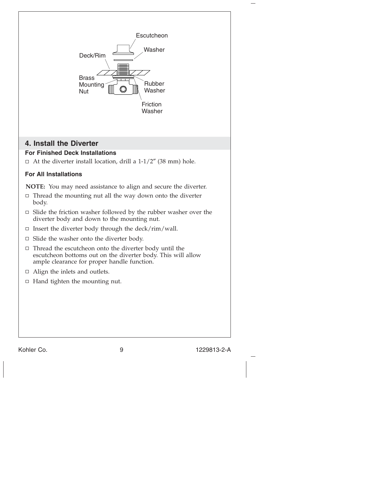

Kohler Co. 200813-2-A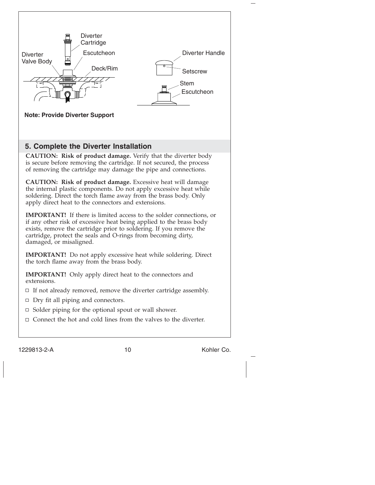

1229813-2-A 10 10 Kohler Co.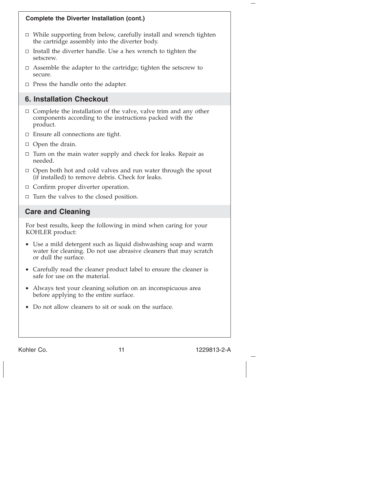

Kohler Co. 200813-2-A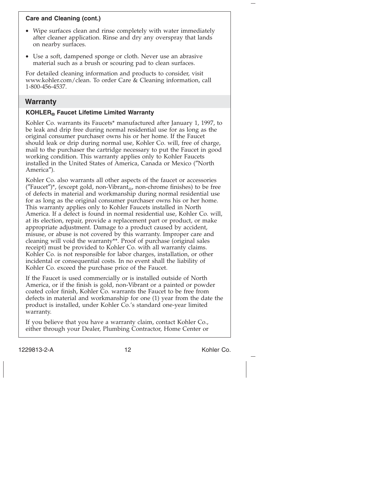## **Care and Cleaning (cont.)**

- Wipe surfaces clean and rinse completely with water immediately after cleaner application. Rinse and dry any overspray that lands on nearby surfaces.
- Use a soft, dampened sponge or cloth. Never use an abrasive material such as a brush or scouring pad to clean surfaces.

For detailed cleaning information and products to consider, visit www.kohler.com/clean. To order Care & Cleaning information, call 1-800-456-4537.

## **Warranty**

## **KOHLER® Faucet Lifetime Limited Warranty**

Kohler Co. warrants its Faucets\* manufactured after January 1, 1997, to be leak and drip free during normal residential use for as long as the original consumer purchaser owns his or her home. If the Faucet should leak or drip during normal use, Kohler Co. will, free of charge, mail to the purchaser the cartridge necessary to put the Faucet in good working condition. This warranty applies only to Kohler Faucets installed in the United States of America, Canada or Mexico (″North America″).

Kohler Co. also warrants all other aspects of the faucet or accessories ("Faucet")\*, (except gold, non-Vibrant<sub>®</sub>, non-chrome finishes) to be free of defects in material and workmanship during normal residential use for as long as the original consumer purchaser owns his or her home. This warranty applies only to Kohler Faucets installed in North America. If a defect is found in normal residential use, Kohler Co. will, at its election, repair, provide a replacement part or product, or make appropriate adjustment. Damage to a product caused by accident, misuse, or abuse is not covered by this warranty. Improper care and cleaning will void the warranty\*\*. Proof of purchase (original sales receipt) must be provided to Kohler Co. with all warranty claims. Kohler Co. is not responsible for labor charges, installation, or other incidental or consequential costs. In no event shall the liability of Kohler Co. exceed the purchase price of the Faucet.

If the Faucet is used commercially or is installed outside of North America, or if the finish is gold, non-Vibrant or a painted or powder coated color finish, Kohler Co. warrants the Faucet to be free from defects in material and workmanship for one (1) year from the date the product is installed, under Kohler Co.'s standard one-year limited warranty.

If you believe that you have a warranty claim, contact Kohler Co., either through your Dealer, Plumbing Contractor, Home Center or

1229813-2-A 12 12 Kohler Co.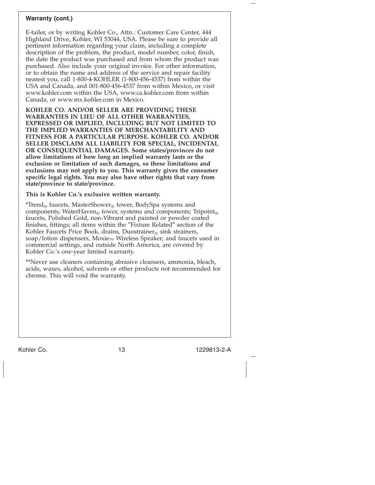### **Warranty (cont.)**

E-tailer, or by writing Kohler Co., Attn.: Customer Care Center, 444 Highland Drive, Kohler, WI 53044, USA. Please be sure to provide all pertinent information regarding your claim, including a complete description of the problem, the product, model number, color, finish, the date the product was purchased and from whom the product was purchased. Also include your original invoice. For other information, or to obtain the name and address of the service and repair facility nearest you, call 1-800-4-KOHLER (1-800-456-4537) from within the USA and Canada, and 001-800-456-4537 from within Mexico, or visit www.kohler.com within the USA, www.ca.kohler.com from within Canada, or www.mx.kohler.com in Mexico.

**KOHLER CO. AND/OR SELLER ARE PROVIDING THESE WARRANTIES IN LIEU OF ALL OTHER WARRANTIES, EXPRESSED OR IMPLIED, INCLUDING BUT NOT LIMITED TO THE IMPLIED WARRANTIES OF MERCHANTABILITY AND FITNESS FOR A PARTICULAR PURPOSE. KOHLER CO. AND/OR SELLER DISCLAIM ALL LIABILITY FOR SPECIAL, INCIDENTAL OR CONSEQUENTIAL DAMAGES. Some states/provinces do not allow limitations of how long an implied warranty lasts or the exclusion or limitation of such damages, so these limitations and exclusions may not apply to you. This warranty gives the consumer specific legal rights. You may also have other rights that vary from state/province to state/province.**

**This is Kohler Co.'s exclusive written warranty.**

\*Trend<sub>®</sub> faucets, MasterShower<sub>®</sub> tower, BodySpa systems and components; WaterHaven® tower, systems and components; Tripoint® faucets, Polished Gold, non-Vibrant and painted or powder coated finishes, fittings; all items within the ″Fixture Related″ section of the Kohler Faucets Price Book, drains, Duostrainer $_{\circledcirc}$  sink strainers, soap/lotion dispensers, Moxie<sub>TM</sub> Wireless Speaker; and faucets used in commercial settings, and outside North America, are covered by Kohler Co.'s one-year limited warranty.

\*\*Never use cleaners containing abrasive cleansers, ammonia, bleach, acids, waxes, alcohol, solvents or other products not recommended for chrome. This will void the warranty.

Kohler Co. 200813-2-A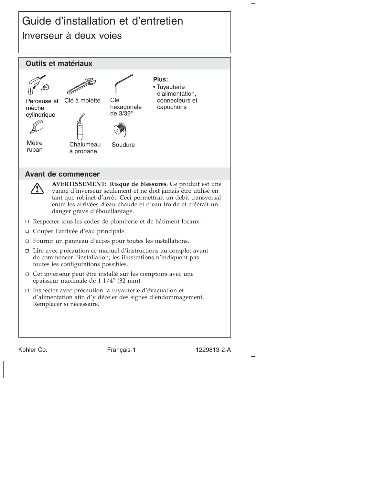## Guide d'installation et d'entretien Inverseur à deux voies



Kohler Co. Français-1 1229813-2-A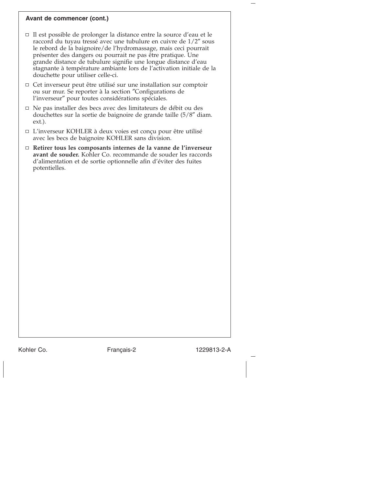#### **Avant de commencer (cont.)**

- Il est possible de prolonger la distance entre la source d'eau et le raccord du tuyau tressé avec une tubulure en cuivre de 1/2″ sous le rebord de la baignoire/de l'hydromassage, mais ceci pourrait présenter des dangers ou pourrait ne pas être pratique. Une grande distance de tubulure signifie une longue distance d'eau stagnante à température ambiante lors de l'activation initiale de la douchette pour utiliser celle-ci.
- $\Box$  Cet inverseur peut être utilisé sur une installation sur comptoir ou sur mur. Se reporter à la section ″Configurations de l'inverseur″ pour toutes considérations spéciales.
- $\Box$  Ne pas installer des becs avec des limitateurs de débit ou des douchettes sur la sortie de baignoire de grande taille (5/8″ diam. ext.).
- L'inverseur KOHLER à deux voies est conçu pour être utilisé avec les becs de baignoire KOHLER sans division.
- **Retirer tous les composants internes de la vanne de l'inverseur avant de souder.** Kohler Co. recommande de souder les raccords d'alimentation et de sortie optionnelle afin d'éviter des fuites potentielles.

Kohler Co. **Français-2** 1229813-2-A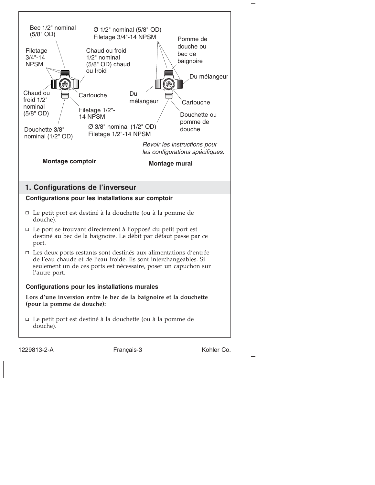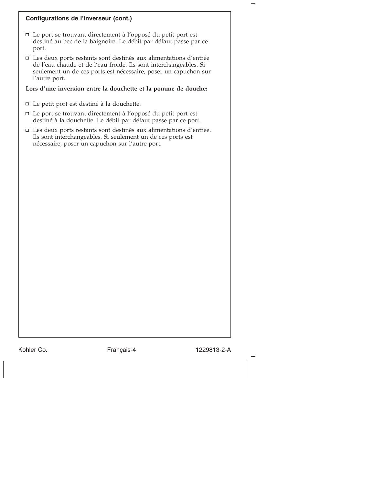## **Configurations de l'inverseur (cont.)**

- $\Box$  Le port se trouvant directement à l'opposé du petit port est destiné au bec de la baignoire. Le débit par défaut passe par ce port.
- $\Box$  Les deux ports restants sont destinés aux alimentations d'entrée de l'eau chaude et de l'eau froide. Ils sont interchangeables. Si seulement un de ces ports est nécessaire, poser un capuchon sur l'autre port.

## **Lors d'une inversion entre la douchette et la pomme de douche:**

- Le petit port est destiné à la douchette.
- Le port se trouvant directement à l'opposé du petit port est destiné à la douchette. Le débit par défaut passe par ce port.
- □ Les deux ports restants sont destinés aux alimentations d'entrée. Ils sont interchangeables. Si seulement un de ces ports est nécessaire, poser un capuchon sur l'autre port.

Kohler Co. **Français-4** 1229813-2-A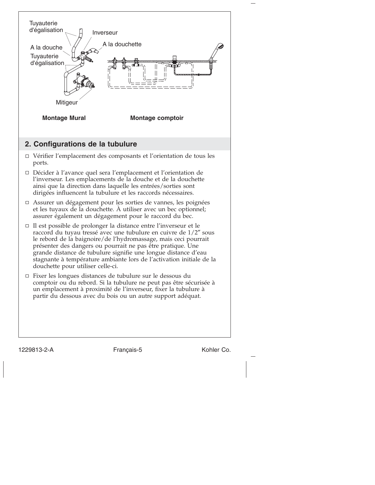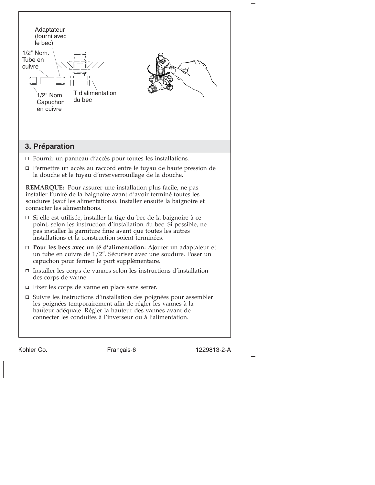| Adaptateur<br>(fourni avec<br>le bec)<br>1/2" Nom.<br>Tube en<br>cuivre<br>1/2" Nom.<br>Capuchon<br>en cuivre | T d'alimentation<br>du bec                                                                                                                                                                                                                                              |                                                                                                                                             |  |  |
|---------------------------------------------------------------------------------------------------------------|-------------------------------------------------------------------------------------------------------------------------------------------------------------------------------------------------------------------------------------------------------------------------|---------------------------------------------------------------------------------------------------------------------------------------------|--|--|
| 3. Préparation                                                                                                |                                                                                                                                                                                                                                                                         |                                                                                                                                             |  |  |
|                                                                                                               | $\Box$ Fournir un panneau d'accès pour toutes les installations.                                                                                                                                                                                                        |                                                                                                                                             |  |  |
|                                                                                                               | la douche et le tuyau d'interverrouillage de la douche.                                                                                                                                                                                                                 | $\Box$ Permettre un accès au raccord entre le tuyau de haute pression de                                                                    |  |  |
| connecter les alimentations.                                                                                  | <b>REMARQUE:</b> Pour assurer une installation plus facile, ne pas<br>installer l'unité de la baignoire avant d'avoir terminé toutes les<br>soudures (sauf les alimentations). Installer ensuite la baignoire et                                                        |                                                                                                                                             |  |  |
|                                                                                                               | $\Box$ Si elle est utilisée, installer la tige du bec de la baignoire à ce<br>point, selon les instruction d'installation du bec. Si possible, ne<br>pas installer la garniture finie avant que toutes les autres<br>installations et la construction soient terminées. |                                                                                                                                             |  |  |
|                                                                                                               | capuchon pour fermer le port supplémentaire.                                                                                                                                                                                                                            | $\Box$ Pour les becs avec un té d'alimentation: Ajouter un adaptateur et<br>un tube en cuivre de 1/2". Sécuriser avec une soudure. Poser un |  |  |
| des corps de vanne.                                                                                           | $\Box$ Installer les corps de vannes selon les instructions d'installation                                                                                                                                                                                              |                                                                                                                                             |  |  |
|                                                                                                               | □ Fixer les corps de vanne en place sans serrer.                                                                                                                                                                                                                        |                                                                                                                                             |  |  |
|                                                                                                               | les poignées temporairement afin de régler les vannes à la<br>hauteur adéquate. Régler la hauteur des vannes avant de<br>connecter les conduites à l'inverseur ou à l'alimentation.                                                                                     | $\Box$ Suivre les instructions d'installation des poignées pour assembler                                                                   |  |  |
|                                                                                                               |                                                                                                                                                                                                                                                                         |                                                                                                                                             |  |  |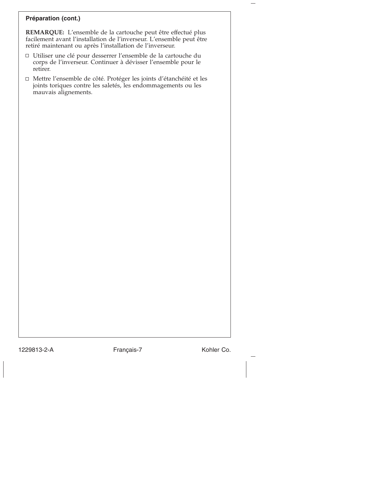### **Préparation (cont.)**

**REMARQUE:** L'ensemble de la cartouche peut être effectué plus facilement avant l'installation de l'inverseur. L'ensemble peut être retiré maintenant ou après l'installation de l'inverseur.

- Utiliser une clé pour desserrer l'ensemble de la cartouche du corps de l'inverseur. Continuer à dévisser l'ensemble pour le retirer.
- Mettre l'ensemble de côté. Protéger les joints d'étanchéité et les joints toriques contre les saletés, les endommagements ou les mauvais alignements.

1229813-2-A Français-7 Kohler Co.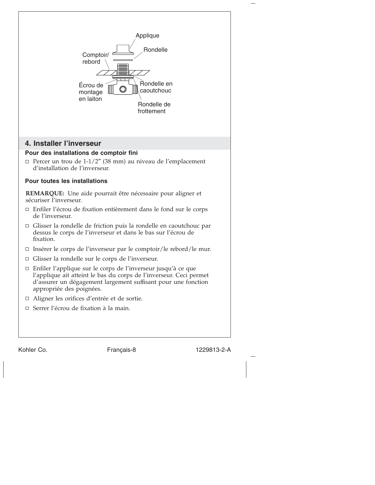

Kohler Co. Français-8 1229813-2-A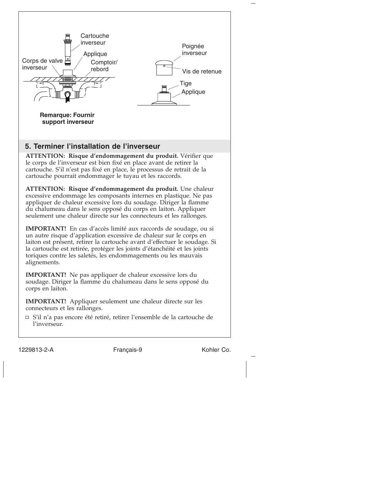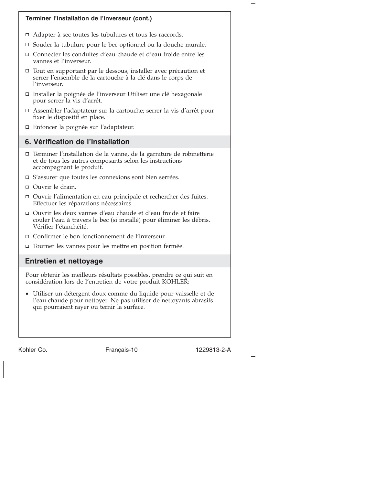

Kohler Co. Français-10 1229813-2-A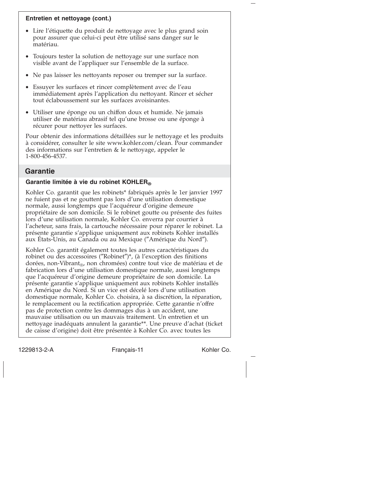## **Entretien et nettoyage (cont.)**

- Lire l'étiquette du produit de nettoyage avec le plus grand soin pour assurer que celui-ci peut être utilisé sans danger sur le matériau.
- Toujours tester la solution de nettoyage sur une surface non visible avant de l'appliquer sur l'ensemble de la surface.
- Ne pas laisser les nettoyants reposer ou tremper sur la surface.
- Essuyer les surfaces et rincer complètement avec de l'eau immédiatement après l'application du nettoyant. Rincer et sécher tout éclaboussement sur les surfaces avoisinantes.
- Utiliser une éponge ou un chiffon doux et humide. Ne jamais utiliser de matériau abrasif tel qu'une brosse ou une éponge à récurer pour nettoyer les surfaces.

Pour obtenir des informations détaillées sur le nettoyage et les produits à considérer, consulter le site www.kohler.com/clean. Pour commander des informations sur l'entretien & le nettoyage, appeler le 1-800-456-4537.

## **Garantie**

## **Garantie limitée à vie du robinet KOHLER®**

Kohler Co. garantit que les robinets\* fabriqués après le 1er janvier 1997 ne fuient pas et ne gouttent pas lors d'une utilisation domestique normale, aussi longtemps que l'acquéreur d'origine demeure propriétaire de son domicile. Si le robinet goutte ou présente des fuites lors d'une utilisation normale, Kohler Co. enverra par courrier à l'acheteur, sans frais, la cartouche nécessaire pour réparer le robinet. La présente garantie s'applique uniquement aux robinets Kohler installés aux États-Unis, au Canada ou au Mexique (″Amérique du Nord″).

Kohler Co. garantit également toutes les autres caractéristiques du robinet ou des accessoires (″Robinet″)\*, (à l'exception des finitions dorées, non-Vibrant<sub>®</sub>, non chromées) contre tout vice de matériau et de fabrication lors d'une utilisation domestique normale, aussi longtemps que l'acquéreur d'origine demeure propriétaire de son domicile. La présente garantie s'applique uniquement aux robinets Kohler installés en Amérique du Nord. Si un vice est décelé lors d'une utilisation domestique normale, Kohler Co. choisira, à sa discrétion, la réparation, le remplacement ou la rectification appropriée. Cette garantie n'offre pas de protection contre les dommages dus à un accident, une mauvaise utilisation ou un mauvais traitement. Un entretien et un nettoyage inadéquats annulent la garantie\*\*. Une preuve d'achat (ticket de caisse d'origine) doit être présentée à Kohler Co. avec toutes les

1229813-2-A Français-11 Kohler Co.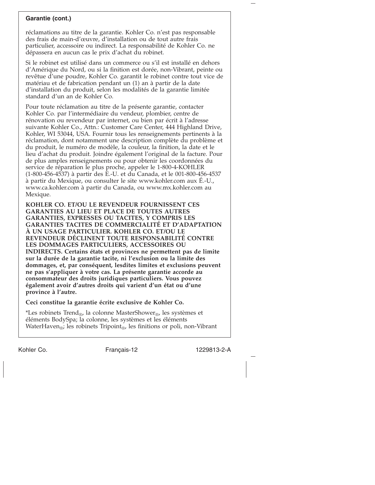### **Garantie (cont.)**

réclamations au titre de la garantie. Kohler Co. n'est pas responsable des frais de main-d'œuvre, d'installation ou de tout autre frais particulier, accessoire ou indirect. La responsabilité de Kohler Co. ne dépassera en aucun cas le prix d'achat du robinet.

Si le robinet est utilisé dans un commerce ou s'il est installé en dehors d'Amérique du Nord, ou si la finition est dorée, non-Vibrant, peinte ou revêtue d'une poudre, Kohler Co. garantit le robinet contre tout vice de matériau et de fabrication pendant un (1) an à partir de la date d'installation du produit, selon les modalités de la garantie limitée standard d'un an de Kohler Co.

Pour toute réclamation au titre de la présente garantie, contacter Kohler Co. par l'intermédiaire du vendeur, plombier, centre de rénovation ou revendeur par internet, ou bien par écrit à l'adresse suivante Kohler Co., Attn.: Customer Care Center, 444 Highland Drive, Kohler, WI 53044, USA. Fournir tous les renseignements pertinents à la réclamation, dont notamment une description complète du problème et du produit, le numéro de modèle, la couleur, la finition, la date et le lieu d'achat du produit. Joindre également l'original de la facture. Pour de plus amples renseignements ou pour obtenir les coordonnées du service de réparation le plus proche, appeler le 1-800-4-KOHLER (1-800-456-4537) à partir des E.-U. et du Canada, et le 001-800-456-4537 à partir du Mexique, ou consulter le site www.kohler.com aux É.-U., www.ca.kohler.com à partir du Canada, ou www.mx.kohler.com au Mexique.

**KOHLER CO. ET/OU LE REVENDEUR FOURNISSENT CES GARANTIES AU LIEU ET PLACE DE TOUTES AUTRES GARANTIES, EXPRESSES OU TACITES, Y COMPRIS LES GARANTIES TACITES DE COMMERCIALITÉ ET D'ADAPTATION À UN USAGE PARTICULIER. KOHLER CO. ET/OU LE REVENDEUR DÉCLINENT TOUTE RESPONSABILITÉ CONTRE LES DOMMAGES PARTICULIERS, ACCESSOIRES OU INDIRECTS. Certains états et provinces ne permettent pas de limite sur la durée de la garantie tacite, ni l'exclusion ou la limite des dommages, et, par conséquent, lesdites limites et exclusions peuvent ne pas s'appliquer à votre cas. La présente garantie accorde au consommateur des droits juridiques particuliers. Vous pouvez également avoir d'autres droits qui varient d'un état ou d'une province à l'autre.**

**Ceci constitue la garantie écrite exclusive de Kohler Co.**

\*Les robinets Trend<sub>®</sub>, la colonne MasterShower<sub>®</sub>, les systèmes et éléments BodySpa; la colonne, les systèmes et les éléments WaterHaven<sub>®</sub>; les robinets Tripoint<sub>®</sub>, les finitions or poli, non-Vibrant

Kohler Co. Français-12 1229813-2-A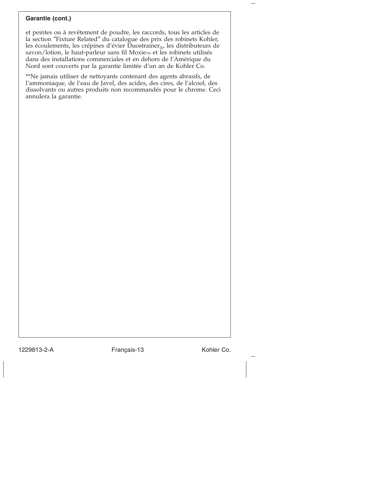## **Garantie (cont.)**

et peintes ou à revêtement de poudre, les raccords, tous les articles de la section ″Fixture Related″ du catalogue des prix des robinets Kohler, les écoulements, les crépines d'évier Duostrainer $_{\text{CD}}$ , les distributeurs de savon/lotion, le haut-parleur sans fil Moxiem et les robinets utilisés dans des installations commerciales et en dehors de l'Amérique du Nord sont couverts par la garantie limitée d'un an de Kohler Co.

\*\*Ne jamais utiliser de nettoyants contenant des agents abrasifs, de l'ammoniaque, de l'eau de Javel, des acides, des cires, de l'alcool, des dissolvants ou autres produits non recommandés pour le chrome. Ceci annulera la garantie.

1229813-2-A Français-13 Kohler Co.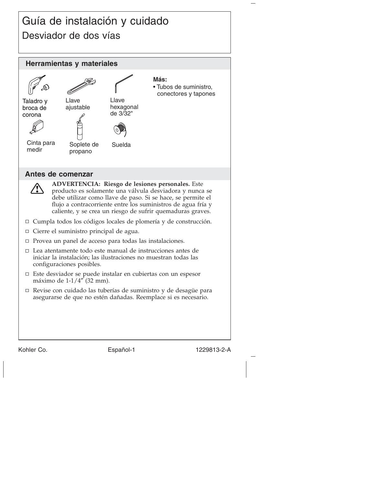## Guía de instalación y cuidado Desviador de dos vías



Kohler Co. **Español-1** 1229813-2-A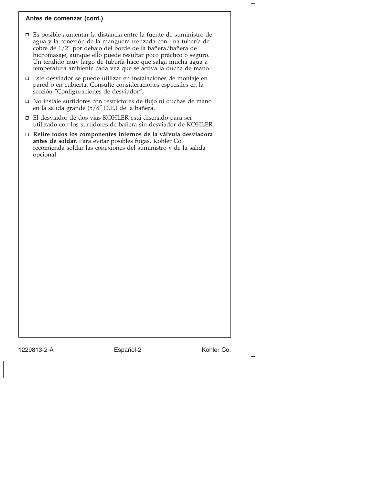#### **Antes de comenzar (cont.)**

- Es posible aumentar la distancia entre la fuente de suministro de agua y la conexión de la manguera trenzada con una tubería de cobre de 1/2″ por debajo del borde de la bañera/bañera de hidromasaje, aunque ello puede resultar poco práctico o seguro. Un tendido muy largo de tubería hace que salga mucha agua a temperatura ambiente cada vez que se activa la ducha de mano.
- $\Box$  Este desviador se puede utilizar en instalaciones de montaje en pared o en cubierta. Consulte consideraciones especiales en la sección ″Configuraciones de desviador″.
- No instale surtidores con restrictores de flujo ni duchas de mano en la salida grande (5/8″ D.E.) de la bañera.
- El desviador de dos vías KOHLER está diseñado para ser utilizado con los surtidores de bañera sin desviador de KOHLER.
- **Retire todos los componentes internos de la válvula desviadora antes de soldar.** Para evitar posibles fugas, Kohler Co. recomienda soldar las conexiones del suministro y de la salida opcional.

1229813-2-A Español-2 Kohler Co.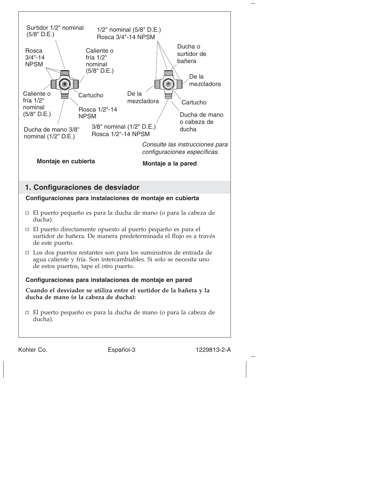

Kohler Co. **Español-3** 1229813-2-A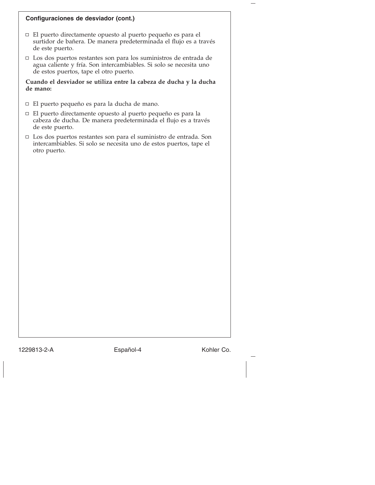### **Configuraciones de desviador (cont.)**

- El puerto directamente opuesto al puerto pequeño es para el surtidor de bañera. De manera predeterminada el flujo es a través de este puerto.
- Los dos puertos restantes son para los suministros de entrada de agua caliente y fría. Son intercambiables. Si solo se necesita uno de estos puertos, tape el otro puerto.

#### **Cuando el desviador se utiliza entre la cabeza de ducha y la ducha de mano:**

- El puerto pequeño es para la ducha de mano.
- El puerto directamente opuesto al puerto pequeño es para la cabeza de ducha. De manera predeterminada el flujo es a través de este puerto.
- $\Box$  Los dos puertos restantes son para el suministro de entrada. Son intercambiables. Si solo se necesita uno de estos puertos, tape el otro puerto.

1229813-2-A Español-4 Kohler Co.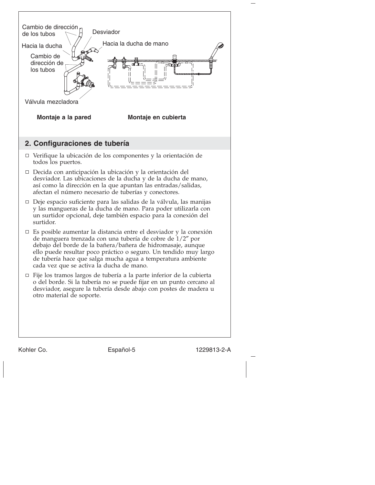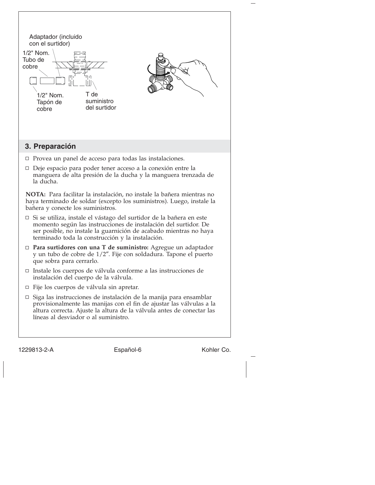| Adaptador (incluido<br>con el surtidor)<br>1/2" Nom.<br>Tubo de<br>cobre<br>1/2" Nom.<br>Tapón de<br>cobre | -17<br>T de<br>suministro<br>del surtidor                                                                                                                                                                                                                              |            |  |  |  |
|------------------------------------------------------------------------------------------------------------|------------------------------------------------------------------------------------------------------------------------------------------------------------------------------------------------------------------------------------------------------------------------|------------|--|--|--|
| 3. Preparación                                                                                             |                                                                                                                                                                                                                                                                        |            |  |  |  |
| □                                                                                                          | Provea un panel de acceso para todas las instalaciones.                                                                                                                                                                                                                |            |  |  |  |
| □<br>la ducha.                                                                                             | Deje espacio para poder tener acceso a la conexión entre la<br>manguera de alta presión de la ducha y la manguera trenzada de                                                                                                                                          |            |  |  |  |
| bañera y conecte los suministros.                                                                          | NOTA: Para facilitar la instalación, no instale la bañera mientras no<br>haya terminado de soldar (excepto los suministros). Luego, instale la                                                                                                                         |            |  |  |  |
|                                                                                                            | $\Box$ Si se utiliza, instale el vástago del surtidor de la bañera en este<br>momento según las instrucciones de instalación del surtidor. De<br>ser posible, no instale la guarnición de acabado mientras no haya<br>terminado toda la construcción y la instalación. |            |  |  |  |
|                                                                                                            | $\Box$ Para surtidores con una T de suministro: Agregue un adaptador<br>y un tubo de cobre de 1/2". Fije con soldadura. Tapone el puerto<br>que sobra para cerrarlo.                                                                                                   |            |  |  |  |
|                                                                                                            | □ Instale los cuerpos de válvula conforme a las instrucciones de<br>instalación del cuerpo de la válvula.                                                                                                                                                              |            |  |  |  |
| Fije los cuerpos de válvula sin apretar.<br>$\Box$                                                         |                                                                                                                                                                                                                                                                        |            |  |  |  |
| □                                                                                                          | Siga las instrucciones de instalación de la manija para ensamblar<br>provisionalmente las manijas con el fin de ajustar las válvulas a la<br>altura correcta. Ajuste la altura de la válvula antes de conectar las<br>líneas al desviador o al suministro.             |            |  |  |  |
| 1229813-2-A                                                                                                | Español-6                                                                                                                                                                                                                                                              | Kohler Co. |  |  |  |

 $\begin{bmatrix} - & & & \\ & - & & \\ & & - & \\ & & & - \end{bmatrix}$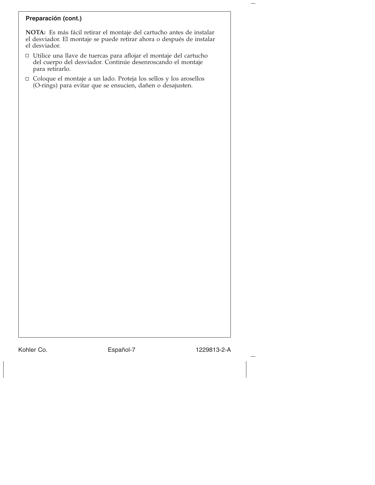## **Preparación (cont.)**

**NOTA:** Es más fácil retirar el montaje del cartucho antes de instalar el desviador. El montaje se puede retirar ahora o después de instalar el desviador.

- Utilice una llave de tuercas para aflojar el montaje del cartucho del cuerpo del desviador. Continúe desenroscando el montaje para retirarlo.
- Coloque el montaje a un lado. Proteja los sellos y los arosellos (O-rings) para evitar que se ensucien, dañen o desajusten.

Kohler Co. **Español-7** 1229813-2-A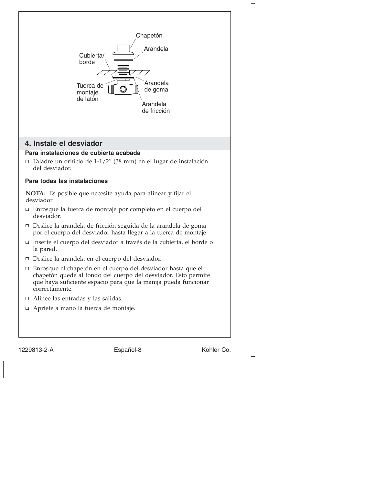

1229813-2-A Español-8 Kohler Co.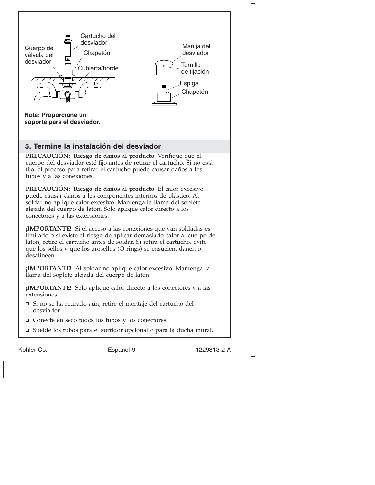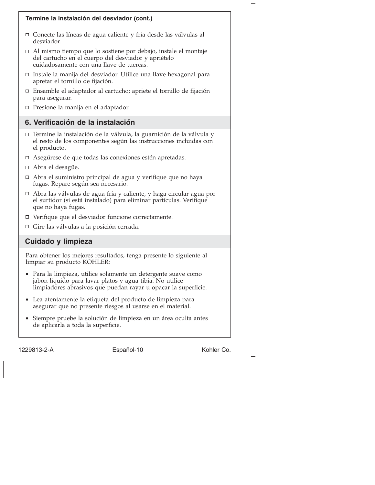

1229813-2-A Español-10 Kohler Co.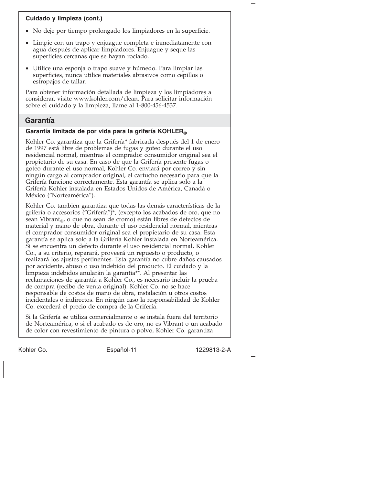## **Cuidado y limpieza (cont.)**

- No deje por tiempo prolongado los limpiadores en la superficie.
- Limpie con un trapo y enjuague completa e inmediatamente con agua después de aplicar limpiadores. Enjuague y seque las superficies cercanas que se hayan rociado.
- Utilice una esponja o trapo suave y húmedo. Para limpiar las superficies, nunca utilice materiales abrasivos como cepillos o estropajos de tallar.

Para obtener información detallada de limpieza y los limpiadores a considerar, visite www.kohler.com/clean. Para solicitar información sobre el cuidado y la limpieza, llame al 1-800-456-4537.

## **Garantía**

### **Garantía limitada de por vida para la grifería KOHLER®**

Kohler Co. garantiza que la Grifería\* fabricada después del 1 de enero de 1997 está libre de problemas de fugas y goteo durante el uso residencial normal, mientras el comprador consumidor original sea el propietario de su casa. En caso de que la Grifería presente fugas o goteo durante el uso normal, Kohler Co. enviará por correo y sin ningún cargo al comprador original, el cartucho necesario para que la Grifería funcione correctamente. Esta garantía se aplica solo a la Grifería Kohler instalada en Estados Unidos de América, Canadá o México (″Norteamérica″).

Kohler Co. también garantiza que todas las demás características de la grifería o accesorios (″Grifería″)\*, (excepto los acabados de oro, que no sean Vibrant<sub>®</sub>, o que no sean de cromo) están libres de defectos de material y mano de obra, durante el uso residencial normal, mientras el comprador consumidor original sea el propietario de su casa. Esta garantía se aplica solo a la Grifería Kohler instalada en Norteamérica. Si se encuentra un defecto durante el uso residencial normal, Kohler Co., a su criterio, reparará, proveerá un repuesto o producto, o realizará los ajustes pertinentes. Esta garantía no cubre daños causados por accidente, abuso o uso indebido del producto. El cuidado y la limpieza indebidos anularán la garantía\*\*. Al presentar las reclamaciones de garantía a Kohler Co., es necesario incluir la prueba de compra (recibo de venta original). Kohler Co. no se hace responsable de costos de mano de obra, instalación u otros costos incidentales o indirectos. En ningún caso la responsabilidad de Kohler Co. excederá el precio de compra de la Grifería.

Si la Grifería se utiliza comercialmente o se instala fuera del territorio de Norteamérica, o si el acabado es de oro, no es Vibrant o un acabado de color con revestimiento de pintura o polvo, Kohler Co. garantiza

Kohler Co. **Español-11** 1229813-2-A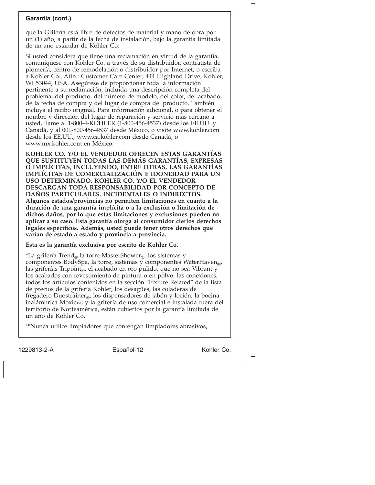#### **Garantía (cont.)**

que la Grifería está libre de defectos de material y mano de obra por un (1) año, a partir de la fecha de instalación, bajo la garantía limitada de un año estándar de Kohler Co.

Si usted considera que tiene una reclamación en virtud de la garantía, comuníquese con Kohler Co. a través de su distribuidor, contratista de plomería, centro de remodelación o distribuidor por Internet, o escriba a Kohler Co., Attn.: Customer Care Center, 444 Highland Drive, Kohler, WI 53044, USA. Asegúrese de proporcionar toda la información pertinente a su reclamación, incluida una descripción completa del problema, del producto, del número de modelo, del color, del acabado, de la fecha de compra y del lugar de compra del producto. También incluya el recibo original. Para información adicional, o para obtener el nombre y dirección del lugar de reparación y servicio más cercano a usted, llame al 1-800-4-KOHLER (1-800-456-4537) desde los EE.UU. y Canadá, y al 001-800-456-4537 desde México, o visite www.kohler.com desde los EE.UU., www.ca.kohler.com desde Canadá, o www.mx.kohler.com en México.

**KOHLER CO. Y/O EL VENDEDOR OFRECEN ESTAS GARANTÍAS QUE SUSTITUYEN TODAS LAS DEMÁS GARANTÍAS, EXPRESAS O IMPLÍCITAS, INCLUYENDO, ENTRE OTRAS, LAS GARANTÍAS IMPLÍCITAS DE COMERCIALIZACIÓN E IDONEIDAD PARA UN USO DETERMINADO. KOHLER CO. Y/O EL VENDEDOR DESCARGAN TODA RESPONSABILIDAD POR CONCEPTO DE DAÑOS PARTICULARES, INCIDENTALES O INDIRECTOS. Algunos estados/provincias no permiten limitaciones en cuanto a la duración de una garantía implícita o a la exclusión o limitación de dichos daños, por lo que estas limitaciones y exclusiones pueden no aplicar a su caso. Esta garantía otorga al consumidor ciertos derechos legales específicos. Además, usted puede tener otros derechos que varían de estado a estado y provincia a provincia.**

**Esta es la garantía exclusiva por escrito de Kohler Co.**

\*La grifería Trend<sub>®</sub> la torre MasterShower<sub>®</sub>, los sistemas y componentes BodySpa, la torre, sistemas y componentes WaterHaven®, las griferías Tripoint<sub>®</sub>, el acabado en oro pulido, que no sea Vibrant y los acabados con revestimiento de pintura o en polvo, las conexiones, todos los artículos contenidos en la sección ″Fixture Related″ de la lista de precios de la grifería Kohler, los desagües, las coladeras de fregadero Duostrainer®, los dispensadores de jabón y loción, la bocina inalámbrica Moxie<sub>M</sub>; y la grifería de uso comercial e instalada fuera del territorio de Norteamérica, están cubiertos por la garantía limitada de un año de Kohler Co.

\*\*Nunca utilice limpiadores que contengan limpiadores abrasivos,

1229813-2-A Español-12 Kohler Co.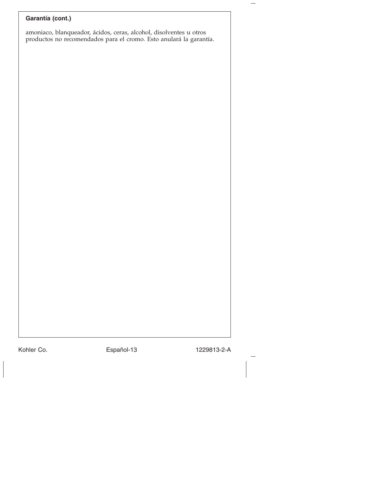## **Garantía (cont.)**

amoniaco, blanqueador, ácidos, ceras, alcohol, disolventes u otros productos no recomendados para el cromo. Esto anulará la garantía.

Kohler Co. Español-13 1229813-2-A

—